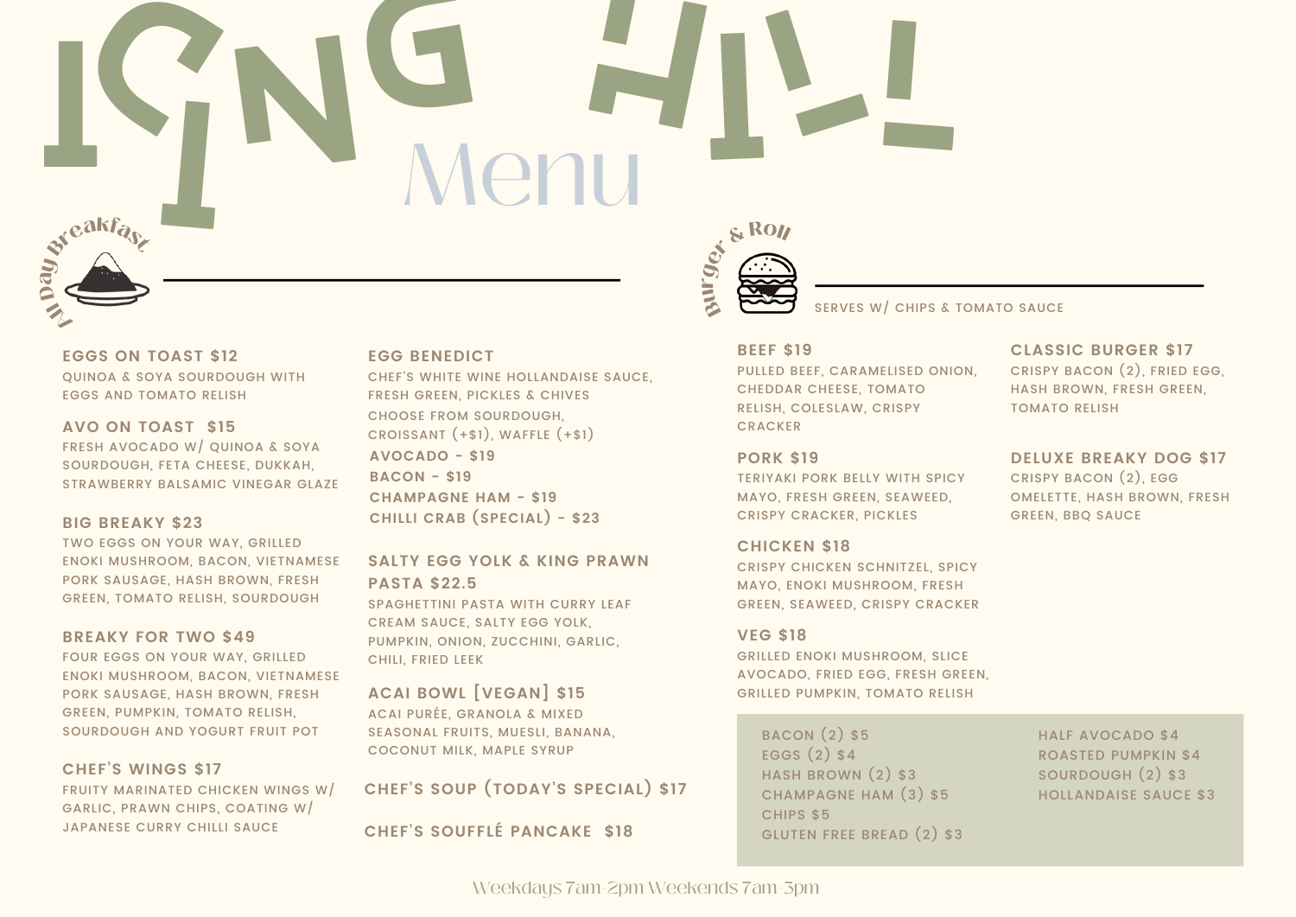# I S N G H I L **Menu**



**EGGS ON TOAST \$12** QUINOA & SOYA SOURDOUGH WITH EGGS AND TOMATO RELISH

**AVO ON TOAST \$15** FRESH AVOCADO W/ QUINOA & SOYA SOURDOUGH, FETA CHEESE, DUKKAH, STRAWBERRY BALSAMIC VINEGAR GLAZE

# **BIG BREAKY \$23**

TWO EGGS ON YOUR WAY, GRILLED ENOKI MUSHROOM, BACON, VIETNAMESE PORK SAUSAGE, HASH BROWN, FRESH GREEN, TOMATO RELISH, SOURDOUGH

# **BREAKY FOR TWO \$49**

FOUR EGGS ON YOUR WAY, GRILLED ENOKI MUSHROOM, BACON, VIETNAMESE PORK SAUSAGE, HASH BROWN, FRESH GREEN, PUMPKIN, TOMATO RELISH, SOURDOUGH AND YOGURT FRUIT POT

# **CHEF'S WINGS \$17**

FRUITY MARINATED CHICKEN WINGS W/ GARLIC, PRAWN CHIPS, COATING W/ JAPANESE CURRY CHILLI SAUCE

# **EGG BENEDICT**

CHEF'S WHITE WINE HOLLANDAISE SAUCE, FRESH GREEN, PICKLES & CHIVES CHOOSE FROM SOURDOUGH, CROISSANT (+\$1), WAFFLE (+\$1) **AVOCADO - \$19 BACON - \$19 CHAMPAGNE HAM - \$19 CHILLI CRAB (SPECIAL) - \$23**

**SALTY EGG YOLK & KING PRAWN PASTA \$22.5**

SPAGHETTINI PASTA WITH CURRY LEAF CREAM SAUCE, SALTY EGG YOLK, PUMPKIN, ONION, ZUCCHINI, GARLIC, CHILI, FRIED LEEK

**ACAI BOWL [VEGAN] \$15** ACAI PURÉE, GRANOLA & MIXED SEASONAL FRUITS, MUESLI, BANANA, COCONUT MILK, MAPLE SYRUP

**CHEF'S SOUP (TODAY'S SPECIAL) \$17**

**CHEF'S SOUFFLÉ PANCAKE \$18**



SERVES W/ CHIPS & TOMATO SAUCE

#### **BEEF \$19**

PULLED BEEF, CARAMELISED ONION, CHEDDAR CHEESE, TOMATO RELISH, COLESLAW, CRISPY **CRACKER** 

# **PORK \$19**

TERIYAKI PORK BELLY WITH SPICY MAYO, FRESH GREEN, SEAWEED, CRISPY CRACKER, PICKLES

# **CHICKEN \$18**

CRISPY CHICKEN SCHNITZEL, SPICY MAYO, ENOKI MUSHROOM, FRESH GREEN, SEAWEED, CRISPY CRACKER

# **VEG \$18**

GRILLED ENOKI MUSHROOM, SLICE AVOCADO, FRIED EGG, FRESH GREEN, GRILLED PUMPKIN, TOMATO RELISH

BACON (2) \$5 EGGS (2) \$4 HASH BROWN (2) \$3 CHAMPAGNE HAM (3) \$5 CHIPS \$5 GLUTEN FREE BREAD (2) \$3 HALF AVOCADO \$4 ROASTED PUMPKIN \$4 SOURDOUGH (2) \$3 HOLLANDAISE SAUCE \$3

# **CLASSIC BURGER \$17**

CRISPY BACON (2), FRIED EGG, HASH BROWN, FRESH GREEN, TOMATO RELISH

# **DELUXE BREAKY DOG \$17**

CRISPY BACON (2), EGG OMELETTE, HASH BROWN, FRESH GREEN, BBQ SAUCE